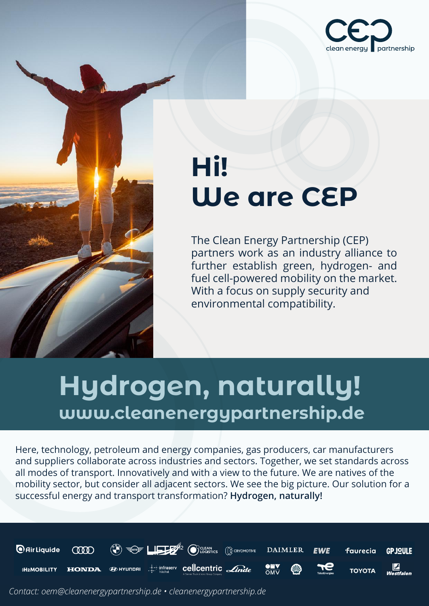

# **Hi! We are CEP**

**The Clean Energy Partnership (CEP)**<br>partners work as an industry allian partners work as an industry alliance to further establish green, hydrogen- and fuel cell-powered mobility on the market. fuel cell-powered mobility on the market.<br>With a focus on supply security and environmental compatibility.<br>
The compatibility of the compatibility of the compatibility of the compatibility of the compatibility of the compatibility.

## **Hydrogen, naturally!** www.cleanenergypartnership.de

www.cleanenergypartnership.definitions.com

www.cleanenergypartnership.definitions.com

Here, technology, petroleum and energy companies, gas producers, car manufacturers and suppliers collaborate across industries and sectors. Together, we set standards across all modes of transport. Innovatively and with a view to the future. We are natives of the ail modes of transport. Innovatively and with a view to the future. We are natives of the<br>mobility sector, but consider all adjacent sectors. We see the big picture. Our solution for a successful energy and transport transformation? **Hydrogen, naturally!** 

www.cleanenergypartnership.definitions.com

www.cleanenergypartnership.definitions.com